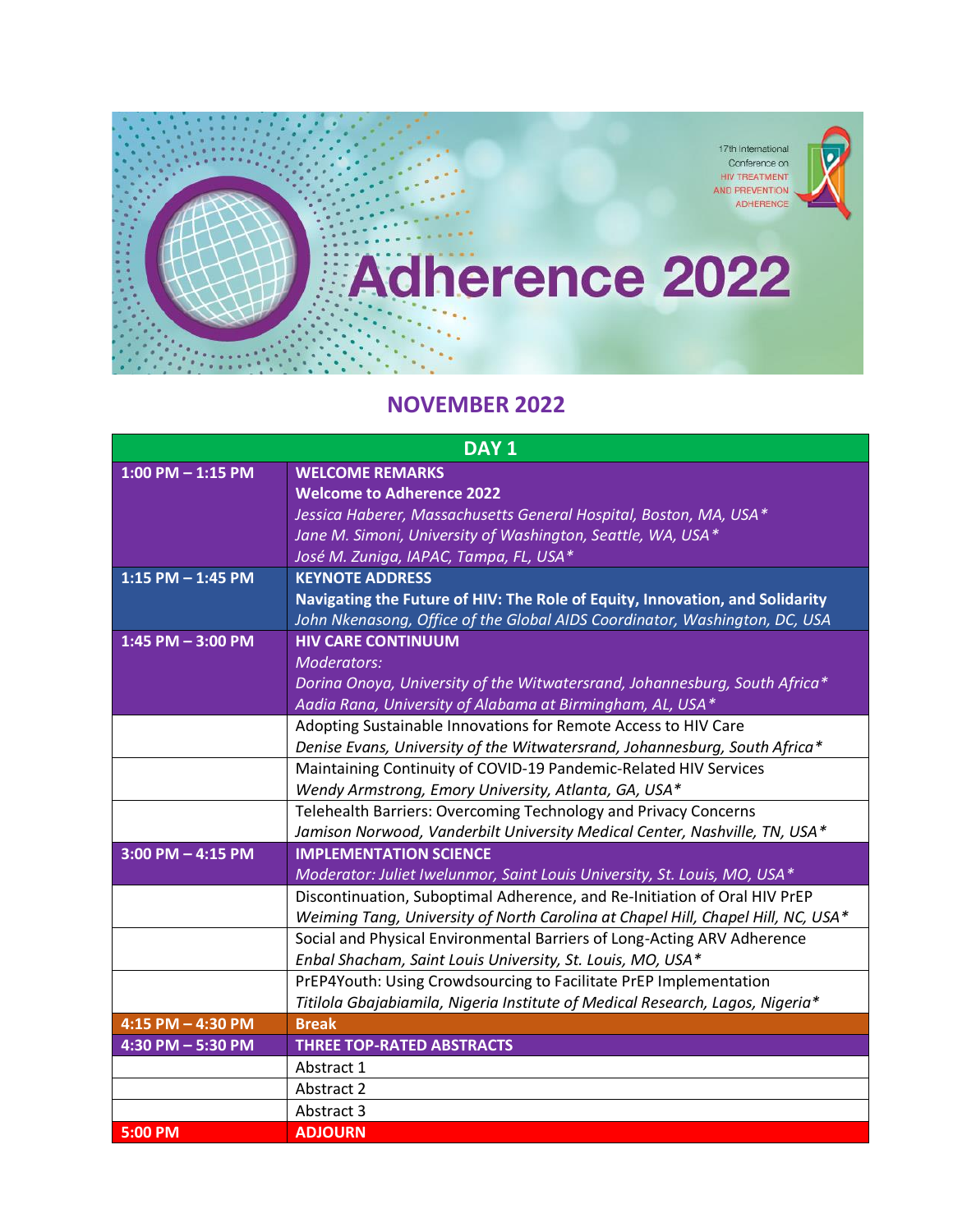

## **NOVEMBER 2022**

| DAY <sub>1</sub>      |                                                                                                                                                             |
|-----------------------|-------------------------------------------------------------------------------------------------------------------------------------------------------------|
| $1:00$ PM $- 1:15$ PM | <b>WELCOME REMARKS</b>                                                                                                                                      |
|                       | <b>Welcome to Adherence 2022</b>                                                                                                                            |
|                       | Jessica Haberer, Massachusetts General Hospital, Boston, MA, USA*                                                                                           |
|                       | Jane M. Simoni, University of Washington, Seattle, WA, USA*                                                                                                 |
|                       | José M. Zuniga, IAPAC, Tampa, FL, USA*                                                                                                                      |
| $1:15$ PM $- 1:45$ PM | <b>KEYNOTE ADDRESS</b>                                                                                                                                      |
|                       | Navigating the Future of HIV: The Role of Equity, Innovation, and Solidarity                                                                                |
|                       | John Nkenasong, Office of the Global AIDS Coordinator, Washington, DC, USA                                                                                  |
| 1:45 PM $-$ 3:00 PM   | <b>HIV CARE CONTINUUM</b>                                                                                                                                   |
|                       | Moderators:                                                                                                                                                 |
|                       | Dorina Onoya, University of the Witwatersrand, Johannesburg, South Africa*                                                                                  |
|                       | Aadia Rana, University of Alabama at Birmingham, AL, USA*                                                                                                   |
|                       | Adopting Sustainable Innovations for Remote Access to HIV Care                                                                                              |
|                       | Denise Evans, University of the Witwatersrand, Johannesburg, South Africa*                                                                                  |
|                       | Maintaining Continuity of COVID-19 Pandemic-Related HIV Services                                                                                            |
|                       | Wendy Armstrong, Emory University, Atlanta, GA, USA*                                                                                                        |
|                       | Telehealth Barriers: Overcoming Technology and Privacy Concerns                                                                                             |
|                       | Jamison Norwood, Vanderbilt University Medical Center, Nashville, TN, USA*                                                                                  |
| $3:00$ PM $-$ 4:15 PM | <b>IMPLEMENTATION SCIENCE</b>                                                                                                                               |
|                       | Moderator: Juliet Iwelunmor, Saint Louis University, St. Louis, MO, USA*                                                                                    |
|                       | Discontinuation, Suboptimal Adherence, and Re-Initiation of Oral HIV PrEP                                                                                   |
|                       | Weiming Tang, University of North Carolina at Chapel Hill, Chapel Hill, NC, USA*<br>Social and Physical Environmental Barriers of Long-Acting ARV Adherence |
|                       | Enbal Shacham, Saint Louis University, St. Louis, MO, USA*                                                                                                  |
|                       | PrEP4Youth: Using Crowdsourcing to Facilitate PrEP Implementation                                                                                           |
|                       | Titilola Gbajabiamila, Nigeria Institute of Medical Research, Lagos, Nigeria*                                                                               |
| 4:15 PM - 4:30 PM     | <b>Break</b>                                                                                                                                                |
| 4:30 PM - 5:30 PM     | <b>THREE TOP-RATED ABSTRACTS</b>                                                                                                                            |
|                       | Abstract 1                                                                                                                                                  |
|                       | Abstract 2                                                                                                                                                  |
|                       | Abstract 3                                                                                                                                                  |
| 5:00 PM               | <b>ADJOURN</b>                                                                                                                                              |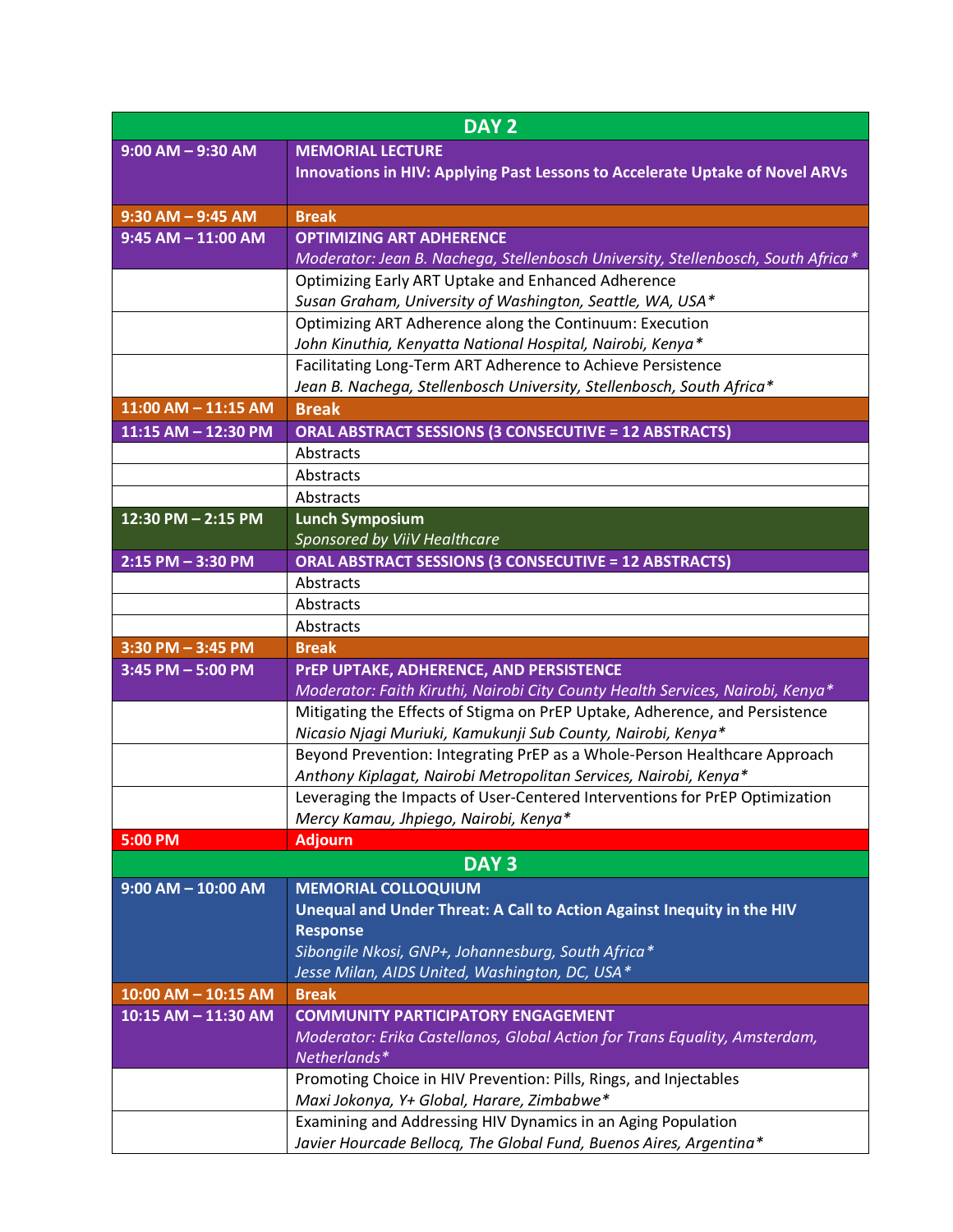| $9:00$ AM $-9:30$ AM<br><b>MEMORIAL LECTURE</b><br>Innovations in HIV: Applying Past Lessons to Accelerate Uptake of Novel ARVs           |  |
|-------------------------------------------------------------------------------------------------------------------------------------------|--|
|                                                                                                                                           |  |
|                                                                                                                                           |  |
|                                                                                                                                           |  |
| <b>Break</b><br>$9:30$ AM $-$ 9:45 AM                                                                                                     |  |
| <b>OPTIMIZING ART ADHERENCE</b><br>$9:45$ AM $-$ 11:00 AM                                                                                 |  |
| Moderator: Jean B. Nachega, Stellenbosch University, Stellenbosch, South Africa*                                                          |  |
| Optimizing Early ART Uptake and Enhanced Adherence                                                                                        |  |
| Susan Graham, University of Washington, Seattle, WA, USA*                                                                                 |  |
| Optimizing ART Adherence along the Continuum: Execution                                                                                   |  |
| John Kinuthia, Kenyatta National Hospital, Nairobi, Kenya*                                                                                |  |
| Facilitating Long-Term ART Adherence to Achieve Persistence                                                                               |  |
| Jean B. Nachega, Stellenbosch University, Stellenbosch, South Africa*                                                                     |  |
| 11:00 AM - 11:15 AM<br><b>Break</b>                                                                                                       |  |
| <b>ORAL ABSTRACT SESSIONS (3 CONSECUTIVE = 12 ABSTRACTS)</b><br>$11:15$ AM - 12:30 PM                                                     |  |
| Abstracts                                                                                                                                 |  |
| Abstracts                                                                                                                                 |  |
| Abstracts<br>12:30 PM - 2:15 PM                                                                                                           |  |
| <b>Lunch Symposium</b><br>Sponsored by ViiV Healthcare                                                                                    |  |
| $2:15$ PM - 3:30 PM<br><b>ORAL ABSTRACT SESSIONS (3 CONSECUTIVE = 12 ABSTRACTS)</b>                                                       |  |
|                                                                                                                                           |  |
|                                                                                                                                           |  |
| Abstracts                                                                                                                                 |  |
| Abstracts                                                                                                                                 |  |
| Abstracts                                                                                                                                 |  |
| $3:30$ PM $-3:45$ PM<br><b>Break</b>                                                                                                      |  |
| PrEP UPTAKE, ADHERENCE, AND PERSISTENCE<br>$3:45$ PM $- 5:00$ PM                                                                          |  |
| Moderator: Faith Kiruthi, Nairobi City County Health Services, Nairobi, Kenya*                                                            |  |
| Mitigating the Effects of Stigma on PrEP Uptake, Adherence, and Persistence                                                               |  |
| Nicasio Njagi Muriuki, Kamukunji Sub County, Nairobi, Kenya*<br>Beyond Prevention: Integrating PrEP as a Whole-Person Healthcare Approach |  |
| Anthony Kiplagat, Nairobi Metropolitan Services, Nairobi, Kenya*                                                                          |  |
| Leveraging the Impacts of User-Centered Interventions for PrEP Optimization                                                               |  |
| Mercy Kamau, Jhpiego, Nairobi, Kenya*                                                                                                     |  |
| <b>Adjourn</b><br>5:00 PM                                                                                                                 |  |
| DAY <sub>3</sub>                                                                                                                          |  |
| $9:00$ AM $-$ 10:00 AM<br><b>MEMORIAL COLLOQUIUM</b>                                                                                      |  |
| Unequal and Under Threat: A Call to Action Against Inequity in the HIV                                                                    |  |
| <b>Response</b>                                                                                                                           |  |
| Sibongile Nkosi, GNP+, Johannesburg, South Africa*                                                                                        |  |
| Jesse Milan, AIDS United, Washington, DC, USA*                                                                                            |  |
| <b>Break</b><br>$10:00$ AM $- 10:15$ AM                                                                                                   |  |
| <b>COMMUNITY PARTICIPATORY ENGAGEMENT</b><br>10:15 AM - 11:30 AM                                                                          |  |
| Moderator: Erika Castellanos, Global Action for Trans Equality, Amsterdam,                                                                |  |
| Netherlands*                                                                                                                              |  |
| Promoting Choice in HIV Prevention: Pills, Rings, and Injectables                                                                         |  |
| Maxi Jokonya, Y+ Global, Harare, Zimbabwe*<br>Examining and Addressing HIV Dynamics in an Aging Population                                |  |